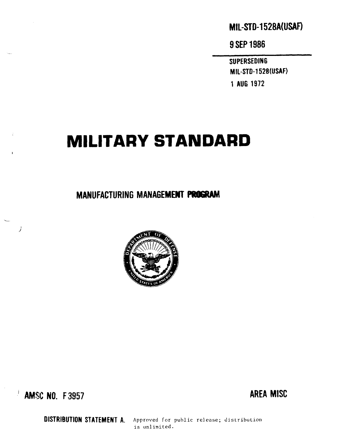# **MIL-STD-1528A(USAF)**

**9**SEP1986

sUPERSEDING MIL-STD-1528(USAF) 1 AUG 1972

# MILITARY STANDARD

MANUFACTURING MANAGEMENT PROGRAM



 $\frac{1}{2}$  amsc no. F3957  $\frac{1}{2}$  area MISC

 $\overline{1}$ 

DISTRIBUTION STATEMENT A. Approved for public release; distribution is unlimited.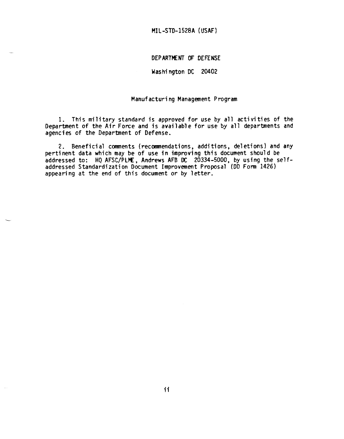#### **I.)EPARTPENT OF DEFENSE**

#### **Washington DC 20402**

# **Manufacturing Management Program**

**1. This military standard** *is* **approved for use by** *all* **activities of the Department of the Air Force and is available for use by all departments and agencies of the Department of Defense.**

**2. Beneficial conwnents(recommendations,additions, deletions) and any pertinent data which may be of use in improving thfs document should be addressed to: HQAFSC/PLIIE, Andrews AFB DC 20334-5000, by using the selfaddressed Standardization Document Improvement Proposal (DD Form 1426) appearing at the end of this document or by letter.**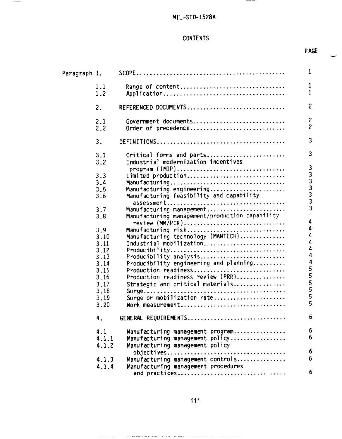$\frac{1}{2} \left( \frac{1}{2} \right) \left( \frac{1}{2} \right) \left( \frac{1}{2} \right) \left( \frac{1}{2} \right) \left( \frac{1}{2} \right) \left( \frac{1}{2} \right) \left( \frac{1}{2} \right) \left( \frac{1}{2} \right) \left( \frac{1}{2} \right) \left( \frac{1}{2} \right) \left( \frac{1}{2} \right) \left( \frac{1}{2} \right) \left( \frac{1}{2} \right) \left( \frac{1}{2} \right) \left( \frac{1}{2} \right) \left( \frac{1}{2} \right) \left( \frac$ 

 $\frac{1}{2}$ 

# **CONTENTS**

**PAGE**

| Paragraph 1. |            |                                                                            | 1                 |
|--------------|------------|----------------------------------------------------------------------------|-------------------|
|              | 1.1<br>1.2 | Range of content                                                           | 1<br>$\mathbf{1}$ |
|              |            |                                                                            |                   |
|              | 2.         | REFERENCED DOCUMENTS                                                       | $\overline{2}$    |
|              | 2.1        | Government documents                                                       | $\mathbf{2}$      |
|              | 2.2        | Order of precedence                                                        | $\overline{c}$    |
|              | 3.         |                                                                            | 3                 |
|              | 3.1        | Critical forms and parts                                                   | 3                 |
|              | 3.2        | Industrial modernization incentives                                        |                   |
|              |            | program (IMIP)                                                             |                   |
|              | 3.3        | Limited production                                                         |                   |
|              | 3.4        | Manufacturing                                                              |                   |
|              | 3.5        | Manufacturing engineering                                                  |                   |
|              | 3.6        | Manufacturing feasibility and capability                                   | 333333333         |
|              |            |                                                                            |                   |
|              | 3.7<br>3.8 | Manufacturing management<br>Manufacturing management/production capability |                   |
|              |            |                                                                            | 4                 |
|              |            | review (MM/PCR)                                                            | 4                 |
|              | 3.9        | Manufacturing risk<br>Manufacturing technology (MANTECH)                   | 4                 |
|              | 3.10       | Industrial mobilization                                                    | 4                 |
|              | 3.11       |                                                                            | 4                 |
|              | 3.12       |                                                                            | 4                 |
|              | 3.13       | Producibility analysis                                                     | 4                 |
|              | 3.14       | Producibility engineering and planning                                     |                   |
|              | 3.15       | Production readiness                                                       |                   |
|              | 3.16       | Production readiness review (PRR)                                          |                   |
|              | 3.17       | Strategic and critical materials                                           |                   |
|              | 3.18       |                                                                            |                   |
|              | 3.19       | Surge or mobilization rate                                                 | 555555            |
|              | 3.20       | Work measurement                                                           |                   |
|              | 4.         | GENERAL REQUIREMENTS                                                       | 6                 |
|              | 4.1        | Manufacturing management program                                           | 6                 |
|              | 4.1.1      | Manufacturing management policy                                            | 6                 |
|              | 4.1.2      | Manufacturing management policy                                            |                   |
|              |            |                                                                            | 6                 |
|              | 4.1.3      | Manufacturing management controls                                          | 6                 |
|              | 4.1.4      | Manufacturing management procedures                                        |                   |
|              |            | and practices                                                              | 6                 |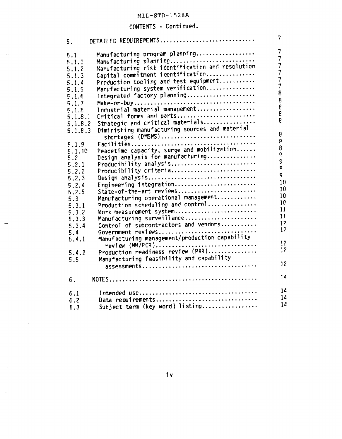# **CONTENTS - Continued.**

 $\sim$  .

| 5.      | DETAILED REQUIREMENTS                                             | 7                                          |
|---------|-------------------------------------------------------------------|--------------------------------------------|
| 5.1     | Manufacturing program planning                                    | 7                                          |
| 5.1.1   | Manufacturing planning                                            | $\overline{7}$                             |
| 5.1.2   | Manufacturing risk identification and resolution                  | $\overline{7}$                             |
| 5.1.3   | Capital commitment identification                                 | $\overline{7}$                             |
| 5.1.4   | Production tooling and test equipment                             | $\begin{array}{c} 7 \\ 7 \\ 8 \end{array}$ |
| 5.1.5   | Manufacturing system verification                                 |                                            |
| 5.1.6   | Integrated factory planning                                       |                                            |
| 5.1.7   |                                                                   | 8                                          |
| 5.1.8   | Industrial material management                                    | e<br>e                                     |
| 5.1.8.1 | Critical forms and parts                                          |                                            |
| 5.1.8.2 | Strategic and critical materials                                  | P.                                         |
| 5.1.8.3 | Diminishing manufacturing sources and material                    |                                            |
|         | shortages (DMSMS)                                                 | 8                                          |
| 5.1.9   |                                                                   | $\frac{8}{8}$                              |
| 5.1.10  | Peacetime capacity, surge and mobilization                        |                                            |
| 5.2     | Design analysis for manufacturing                                 | $\dot{\mathbf{e}}$                         |
| 5.2.1   | Producibility analysis                                            | $\overline{9}$                             |
| 5.2.2   | Producibility criteria                                            | $\mathbf{o}$                               |
| 5.2.3   | Design analysis                                                   | 9                                          |
| 5.2.4   | Engineering integration                                           | 10                                         |
| 5.2.5   | State-of-the-art reviews                                          | 10                                         |
| 5.3     | Manufacturing operational management                              | 10 <sup>°</sup>                            |
| 5.3.1   | Production scheduling and control                                 | 10                                         |
| 5.3.2   | Work measurement system                                           | 11                                         |
| 5.3.3   | Manufacturing surveillance                                        | 11                                         |
| 5.3.4   | Control of subcontractors and vendors                             | 12                                         |
| 5.4     | Government reviews                                                | 12 <sup>°</sup>                            |
| 5.4.1   | Manufacturing management/production capability<br>review (MM/PCR) | 12 <sup>°</sup>                            |
| 5.4.2   | Production readiness review (PRR)                                 | 12 <sup>2</sup>                            |
| 5.5     | Manufacturing feasibility and capability                          |                                            |
|         | assessments                                                       | 12                                         |
| 6.      |                                                                   | 14                                         |
| 6.1     |                                                                   | 14                                         |
| 6.2     | Data requirements                                                 | 14                                         |
| 6.3     | Subject term (key word) listing                                   | 14                                         |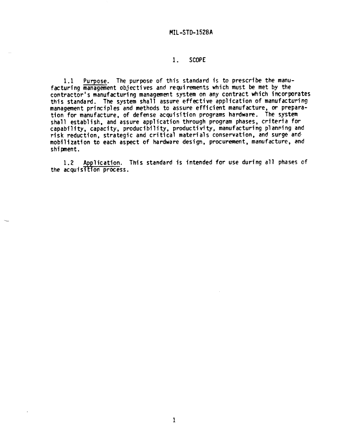# 1. **SCOPE**

1.1 **Purpose. The purpose of this standard is to prescribe the manufacturing management objectives and requirements which must be met by the contractor's manufacturing management system on any contract which incorporates this standard. The system shall assure effective application of manufacturing management principles and methods to assure efficient manufacture, or preparation for manufacture, of defense acquisition programs hardware. The system shall establish, and assure application through program phases, crfterta for capability, capacity, producibility, productivity, manufacturing planning and risk reduction, strategic and critical materials conservation, and surge and mobilization to each aspect of hardware design, procurement, manufacture, and shipment.**

**This standard is intended for use during all phases of**  $1.2<sub>1</sub>$ the **acquisition** process.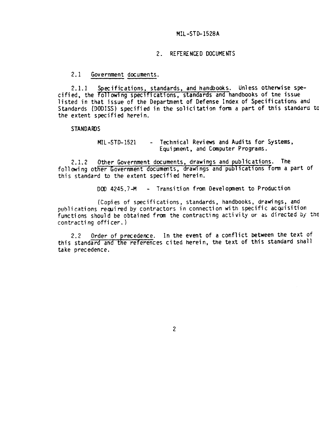#### **2. REFERENCED DOCUMENTS**

**2.1 Government documents.**

**2.1.1 Specifications, standards, and handbooks. Unless otherwise specified, the ~ollowlng speclflcatlons, standards and handbooks of tne issue listed in that issue of the Department of Defense Index of Specifications and Standards (0001SS) specified in the solicitation form a part of this standard to the extent specified herein.**

**STANDAFOS**

**MIL-STD-1521 - Technical Reviews and Audits for Systems, Equipnent, and Computer Programs.**

**2.1.2 Other Government documents, drawings and publications. The following other Government docum~ts, drawings and publications form a part of this standard to the extent specified herein.**

**DDO 4245.7-M - Transition from Oevelopnent to Production**

**(Copies of specifications, standards, handbooks, drawings, and p~!hli~ationsrewired by contractors in connection with specific acquisition functions should be obtained fran the contracting activ ty or as directed bJ'the contracting officer.)**

**2.2 Order of precedence. In the event of a confl" -etbetween the text of this standard and the references cited herein, the text of this standard shall take precedence.**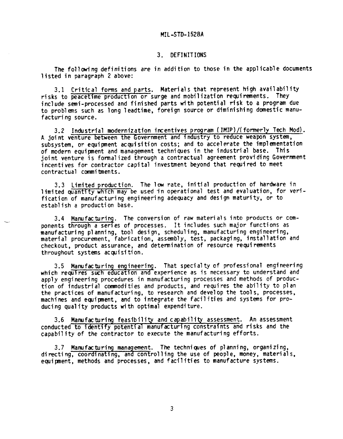## **3. DEFINITIONS**

**The following definitions are in addition to those in the applicable documents listed in paragraph 2 above:**

**3.1 Critical forms and parts. Materials that represent high availability risks to peacetime production or surge and mobilization requirements. They include semi-processed and finished parts with potential risk to a program due to problems such as long Ieadtime, foreign source or diminishing domestic manufacturing source.**

**3.2 Industrial modernization incentives program (IMIP)/(formerlyTech Mod). A joint venture between the Government and industry to reduce weapon system, subsystem, or equipnent acquisition costs; and to accelerate the implementation of modern equipnent and management techniques in the industrial base. This joint venture is formalized through a contractual agreement providing Government incentives for contractor capital investment beyond that required to meet contractual commitments.**

**3.3 Limited production. The low rate, initial production of hardware in limited quantity which may be used tinoperation? test and evaluation, for verification of manufacturing engineering adequacy and design maturity, or to establish a production base.**

**3.4 Manufacturing. The conversion of raw materials into products or components through a series of processes. It includes such major functions as manufacturing planning, tool design, scheduling,manufacturing engineering, materia? procurement, fabrication, assembly, test, packaging, installation and checkout, product assurance, and determination of resource requirements throughout systems acquisition.**

**3.5 Manufacturing engineering. That specialty of professional engineering which requires such education and experience as is necessary to understand and apply engineering procedures in manufacturing processes and methods of production of industrial commodities and products, and requires the ability to plan the practices of manufacturing, to research and develop the tools, processes, machines and ecpipnent, and to integrate the facilities and systems for producing quality products with optimal expenditure.**

**3.6 Manufacturing feasibility and capability assessment. An assessment conducted to dentify potential manufacturing constraints and risks and the capability of the contractor to execute the manufacturing efforts.**

**3.7 Manufacturing management. The technicpes of planning,** *organizing,* **directing, coordinating, and controlling the use of people, money, materials, equipnent, methods and processes, and facilities to manufacture systems.**

 $\mathfrak{Z}$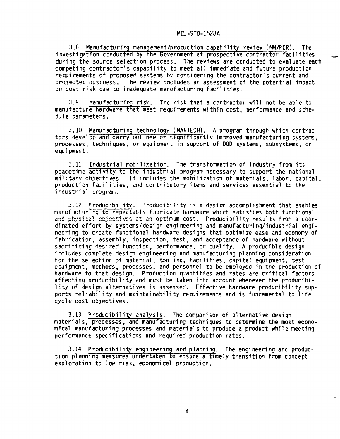**3.8 Manufacturing management/productioncapability review (PtVPCR). The investigatlon conducted by the Government at prospectlve contractor facilities \_ during ~he source selection process. The** *reviews* **are conducted to evaluate each competing contractor's capability to meet all inwnediateand future production requirements of proposed systems by considering the contractor's current and projected business. The review includes an assessment of the potential impact on cost risk due to inadequate manufacturing facilities.**

**3.9 blanufacturinclrisk. The risk that a contractor will not be able to manufacture** hardware that meet requirements within cost, performance and sche**dule parameters.**

**3.10 Manufacturing technol y (MANTECH) A program through which contrac-~" tors develop and carry out new or s~gn~ cantly improved manufacturing systems, processes, techniques, or equipment in support of DOD systems, subsystems, or equipnent.**

**3.11 Industrial mobilization. The transformationof industry from its peacetime activity to the industrial program necessary to support the national military objectives. It includes the mobilization of materials, labor, capital, production facilities, and contributory items and services essential to the industrial program.**

**3.12 Producibility. Producibility is a design accomplishment that enables manufacturing to repeatably fabricate hardware which satisfies both functional 2007 h** *nhysical objectives at an optimum cost. Producibility results from a coor-***dinated effort by systems/design engineering and manufacturing/industrialengineering to create functional hardware designs that optimize ease and economy of fabrication, assembly, inspection, test, and acceptance of hardware without sacrificing desired function, performance, or quality. A producible design includes complete design engineering and manufacturing planning consideration for the selection of material, tooling, facilities, capital equipment, test equipnent, methods, processes, and personnel to be employed in the production of hardware to that design. Production quantities and rates are critical factors affecting producibility and must be taken into account whenever the producibility of design alternatives is assessed. Effective hardware producibility supports reliability and maintainability requirements and is fundamentalto life cycle cost objectives.**

**3.13 Producibility analysis. The comparison of alternative design materials, Processes. and manufacturing techniques to determine the most economical manuf&turing processes and mate~ials to "producea product whtle meeting performance specifications and required production rates.**

3.14 **Producibility engineering and planni . The engineering and production plann~ng measures undertaken to ensure a %me?y transition from concept exploration to low risk, economical production.**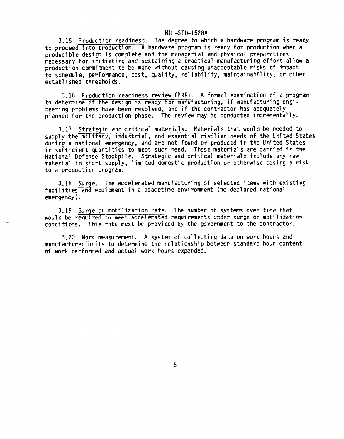**3.15 Pro~ction readiness. The degree to which a hardware program is ready to proceed into production. ~ hardware program is ready for production when a** producible design is complete and the managerial and physical preparations **necessary for initiating and sustaining a practical manufacturing effort allow a production commitment to be made without causing unacceptable risks of impact to schedule, performance, cost, quality, reliability,maintainability, or other established thresholds.**

3.16 **Production readiness** *review* **(PRR). A formal examination of a program to determine if the design is ready for manufacturing, if manufacturing engineering problms have been resolved, and if the contractor has adequately planned for the production phase. The review may be conducted incrementally.**

3.17 **Strategic and critical materials. Materials that would be needed to supply the milltary, Industrial, and essential civilian needs of the United States during a national emergency, and are not found or produced in the United States in sufficient ~antities to meet such need. These materials are carried in the National Defense Stockpile. Strategic and critical materials include any raw material in short supply, limited domestic production or otherwise posing a risk to a production program.**

**3.18 Su e. The accelerated manufacturing of selected items with existing -% facilities an equipment in a peacetime environment (no declared national emergency).**

**3.19 Surge or mobilization rate. The number of systems over time that** would be required to meet accelerated requirements under surge or mobilizati **conditions. 'This rate must be provided by the government to-the contractor.**

**3.20 Worl(measurement. A system of collecting data on work hours and manufactured units to determine the relationship between standard hour content of work performed and actual work hours expended.**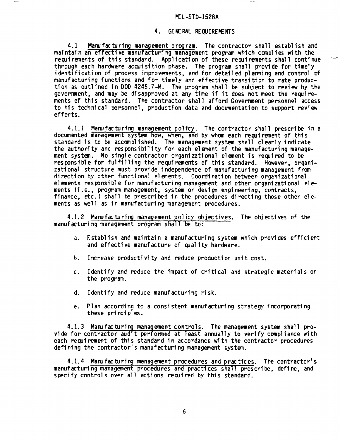#### **4. GEKRAL REQUIREKmS**

**4.1 Manufactur{q management program. The contractor shall establish and maintain an effective manufacturing managment program which complies w"th the requirements of this standard.** Application of these requirements shall continue **through each hardware acquisition phase. The program shall provide for timely identification of process improvements, and for detailed planning and control of manufacturing functions and for tfmely and effective transition to rate production as outlined in DOD 4245.7-M. The program sha?l be subject to review by the govermnent, and m~ be disapproved at any time if it does not meet the recpirements of thfs standard. The contractor shall afford Goverranentpersonnel access to his technfcal personnel, production data and documentation to support revfew efforts.**

4.1.1 **Manufacturing management policy. The contractor shall prescribe in a documented management system how, when, and by whan each reairanent of this standard fs to be accomplished. 'The management system shall clearly indicate the authority and responsibility for each elenent of the manufacturingmanagement system. No single contractor organizational elenent fs recpfred to be responsible for fulfilling the requirements of this standard. However, organizational structure must provfde independence of manufacturing management from direction by other functional elanents. Coordination between organizatfona? elsnents responsible for manufacturing management and other organizational elements (i.e., program management, system or design engineering, contracts, finance, etc.) shall be prescribed in the procedures directing those other elements as well as in manufacturing management procedures.**

4.1.2 **Manufacturing management policy obj~tives. The objectives of the manufacturing management program shall be to:**

- **a. Establfsh and maintain a manufacturing system which provides efficient and effectfve manufacture of ~ality hardware.**
- **b. Increase productivity and reduce production unit cost.**
- **c. Identify and reduce the impact of critfcal and strategicmaterials on the program.**
- **d. Identify and reduce manufacturing risk.**
- **e. Plan according to a consistent manufacturing strategy incorporating these principles.**

4.1.3 **Mamfacturing management controls. The management system shall provide for contractor audft performed at least annually to verify compliance with each requirement** of this standard in accordance with the contractor procedures **deffning the contractor's manufacturing management system.**

**4.1.4 Manufacturing management procechres and practices. The contractor's manufacturing management procedures and practices shall prescribe, define, and specify controls over all actfons required by this standard.**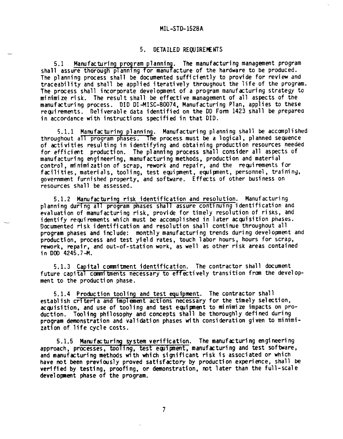## **5. DETAILED REQUIREKNTS**

5.1 **Manufacturing program plannin The manufacturing management program shall assure thorouqh ~lannlnq for manu cture of the hardware to be produced. The planning proces~ shall be-documented sufficiently to provide for review and traceability and shall be applied iteratively throughout the life of the program. The process shall incorporate development of a program manufacturing strategy to minimize risk. The result shall be effective management of all aspects of the manufacturing process. DID DI-MISC-80D74, Manufacturing Plan, applies to these re~irements. Deliverable data identified on the DD Form 1423 shall be prepared in accordance with instructions specified in that DID.**

—

**5.1.1 Manufacturing planning. Manufacturing planning shall be acccinplished throughout an program phases. The process must be a logical, planned sequence of activities resulting in identifying and obtaining production resources needed for efficient production. The planning process shall consider all aspcts of manufacturing engineering, manufacturing methods, production and material control, minimization of scrap, rework and repair, and the requirements for facilities, materials, tooling, test equipnent, equipment, personnel, training, government furnished property, and software. Effects of other business on resources shall be assessed.**

**5.1.2 Manufacturing risk identification and resolution. Manufacturing planning during all program phases shall assure continuing identification and evaluation of manufacturing risk, provide for timely resolution of risks, and identify requirements which must be accomplished in idter acquisition pndses. Documented risk identification and resolution shall continue throughout all program phases and include: monthly manufacturing trends during development and production, process and test yield rates, touch labor hours, hours for scrap, rework, repair, and out-of-station work, as well as other risk areas contained in DOD 4245.7-M.**

**5.1.3** Capital commitment identification. The contractor shall document **future capital cmnitments necessary to effectively transition fran the ctevelopment to the production phase.**

**5.1.4 Production tooling and test equipment. The contractor shall establish criteria and implement actions necessary for the timely selection,** acquisition, and use of tooling and test equipment to minimize impacts on pro**duction. Tooling philosophy and concepts shall be thoroughly defined during program demonstration and validation phases ~"th consideration given to minimization of life cycle costs.**

**5.1.5** Manufacturing system verification. The manufacturing engineering **approach, processes, tool~ng, test ecpipnent, manufacturing and test software, and manufxturing methods with which significant risk is associated or which have not been previously proved satisfactory** *by* **production experience, shall be verified by testing, proofing, or demonstration, not later than the full-scale development phase of the program.**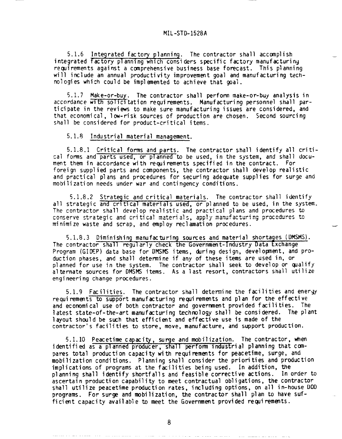—

5.1.6 **Integrated factory planning. The contractor shall accomplish integrated factory plannlng which considers specific factory manufacturing recpirements against a canprehensive business base forecast. This planning** will include an annual productivity improvement goal and manufacturing tech**nologies which could be implemented to achieve that goal.**

**5.1.7 Make-or-buy. The contractor shall perform make-or-buy analysis in accordance with solicitation requirements. Manufacturing personnel shall participate in the reviews to make sure manufacturing issues are considered, and that economical, low-risk sources of production are chosen. Second sourcing shall be considered for product-critical items.**

#### **5.1.8 Industrial material management. —-**

5.1.8.1 **Critical forms and parts. The contractor shall identify all critical forms and~ts used, or planned to be used, in the system, and shall document them in accordance with requirements specified in the contract. For foreign supplied parts and components, the contractor shall develop realistic and practical plans and procedures for securing adequate supplies for surge and mobilization needs under war and contingency conditions.**

**5.1.8.2 Strategic and critical materials. The contractor shall identify all strategic and crltlcal materials used, or planned to be used, in the system. The contractor shall develop realistic and practical plans and procedures to** conserve strategic and critical materials, apply manufacturing procedures to **minimize waste and scrap, and employ reclamation procedures.**

**5.1.8.3 Diminishing manufacturing sources and material shortages (DMSMS). The contractor shall regularly check the Government-IndustryData Lxchange Program (GIDEP) data base for DMSMS items, tiring design, develowent, and production phases, and shall determine if any of these items are used in, or planned for use in the system. The contractor shall seek to develop or qualify alternate sources for DMSht5items. As a last resort, contractors shall utilize engineering change procedures.**

**5.1.9 Facilities. The contractor shall determine the facilities and** *energy* **requiremmts to support manufacturing requirements and plan for the effective and economical use of both contractor and government provided facilities. The latest state-of-the-artmanufacturing technology shall be considered. The plant layout should be swh that efficient and effective use is made of the contractor's facilities to store, move, manufacture, and support production.**

**5.1.10 Peacetime capacity surge and mobilization. The contractor, when** identified as a planned producer, shall perform industrial planning that com**pares total production capacity with requi~ments for peacetime, surge, and mobilization conditions. Planning shall consider the priorities and production implications of programs at the facilities being used. In addition, the planning shall identify shortfalls and feasible corrective actions. In order to ascertain production capability to meet contractual obligations, the contractor shall utilize peacetime production rates, including options, on all in-house UOD programs. For surge and mobilization, the contractor shall plan to have sufficient capacity available to meet the Government provided requirements.**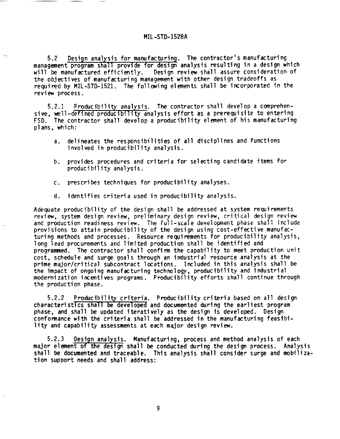**5.2 Design analysis for manufacturin~. The contractor's manufacturing management program shall provide for design analysis resulting in a design which Design review** shall assure consideration of **the objectives of manufacturing management with other design tradeoffs as required by MIL-STD-1521. The following elements shall be incorporated in the review process.**

**5.2.1 Producibility analysis. The contractor shall develop a comprehensive, well-defined producibility analysis effort as a prerequisite to entering FSD. The contractor shall develop a producibility element of his manufacturing plans, which:**

- **a. delineates the responsibilities of all disciplines and functions involved in producibility analysis.**
- **b. provides procedures and criteria for selecting candidate items for producibility analysis.**
- **c. prescribes techniques for producibility analyses.**
- **d. identifies criteria used in producibility analysis.**

**Adequate producibility of the design shall be addressed at system requirements review, system design review, preliminary design review, critical design review and production readiness review. The** *full-scdle* **development phase shall include provisions to attain producibility of the design using cost-effective manufacturing methods and processes. Resource requirements for producibility analysis, long lead procurements and limited production shall be identified and progransned. The contractor shall confirm the capability to meet production unit cost, schedule and surge goals through an industrial resource analysis at the primemajor/critical subcontract locations. Included in this analysis shall be the impact of ongoing manufacturing technology, producibility and industrial modernization incentives programs. Producibility efforts shall continue through the production phase.**

**5.2.2 Producibility criteria. Producibility criteria based on all design characteristics shall developed and documented during the earliest program phase, and shall be updated iteratively as the design is developed. Design conformance with the criteria shall be addressed in the manufacturing feasibility and capability assessments at each major design review.**

**5.2.3 Design analysis. Manufacturing, process and method analysis of each major element of the design shall be conducted during the design process. Analysis shall be documented and traceable. This analysis shall consider surge and mobilization support needs and shall address:**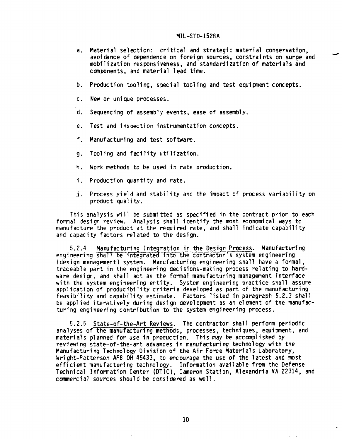- **a. Material selection: critical and strategic material conservation, avoidance of dependence on foreign sources, constraints on surge and mobilization responsiveness, and standardizationof materfals and ccnnponents,and material lead time.**
- **b. Production tooling, special tooling and test equfpment concepts.**
- **c. New or unique processes.**
- **d. Sequencing of assembly events, ease of assembly.**
- **e. Test and inspection instrumentationconcepts.**
- **f. Manufacturing and test software.**
- **9" Tooling and facility utilization.**
- **h. Work methods to be used in rate production.**
- **i, Production quantity and rate.**
- j. **Process yield and stability and the impact of process variability on product quality.**

**This analysis will be submitted as specified in the contract prior to each formal design review. Analysis shall identify the most economical ways to manufacture the product at the required rate, and shall indicate capability and capacity factors related to the design.**

**5.2.4 Manufacturing Integration in the Design Process. Manufacturing engineering shall be integrated into the contractor's system engineering (design management) system. Manufacturing engineering shall have a formal, traceable part in the engineering decisions-makingprocess relating to hardware design, and shall act as the formal manufacturing management interface with the system engineering entity. System engineering practice shall assure application of producibilitycriteria developed as part of the manufacturing feasibf?ity and capabf?fty estimate. Factors listed in paragraph 5.2.3 shall be** applied iteratively during design development as an element of the manufac**turing engineering contribution to the system engineering process.**

**5.2.5 State-of-the-Art Reviews. The contractor shall perform periodic analyses of the manufacturing methods, processes, techniques, equipment, and**  $m$  **materials** planned for use in production. This may be accomplished by **reviewing state-of-the-artadvances in manufacturing technology with the Manufacturing Technology Division of the Air Fome Materials Laboratory, Wright-Patterson AFB OH 45433, to** *encwrage* **the use of the latest and most efficient manufacturing technology. Information avatlable from the Defense Technfcal Information Center (DTIC), Caneron Station, Alexandria VA 22314, and cotmrtercial***sources* **should be considered** *as well.*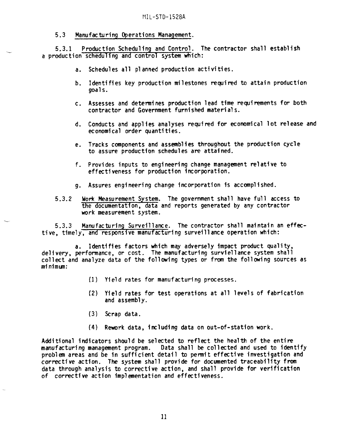# **5.3 Manufacturing Operations Management.**

**5.3.1 Production Scheduling and Control. The contractor shall establish a production scheduling and control system which:**

- **a. Schedules all planned production activities.**
- **b. Identifies key production milestones required to attain production goals.**
- **c. Assesses and determines production lead time requirements for both contractor and Government furnished materials.**
- **d. Conducts and applies analyses required for economical lot release and economical order quantities.**
- **e. Tracks components and assemblies throughout the production cycle to assure production schedules are attained.**
- **f. Provides inputs to engineering change management relative to effectiveness for production incorporation.**
- **9\* Assures engineering change incorporation is accomplished.**
- **5.3.2 Work Measurement System. The government shall have full access to the documentation, data and reports generated by any contractor** *work* **measurement system.**

**5.3.3 Manufacturing Surveillance. The contractor shall maintain an effective, timely, and responsive manufacturing surveillance operation which:**

**Identifies factors which may adversely impact product quality,**  $\alpha$  delivery, performance, or cost. The manufacturing surviellance system shall **collect and analyze data of the follwing types or from the following sources as minimurf:**

- **{1) Yield rates for manufacturing processes.**
- **(2) Yield rates** *for* **test operations at all 1evels of fabrication and assembly.**
- **(3) Scrap data.**
- **(4) Rework data, including data on out-of-station work.**

**Additional indicators should be selected tm reflect the health of the entire manufacturing management program. Data shall be CO11ected and used to identify problem areas and be in sufficient detail to permit eff~tive investigation and corrective action. The system shal1 provide for documented traceabiIity from data through analysis to corrective action, and shall provide for verification of corrective action implementation and effectiveness.**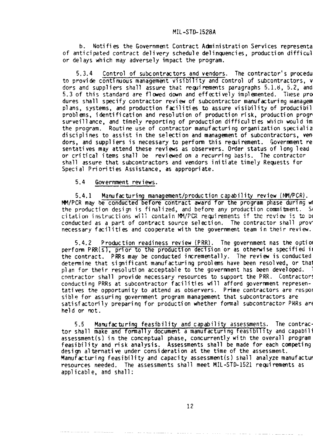**b. Notifies the Government Contract Adniaistration Services representa of anticipated contract delivery schedule delincpencies, production diffiCUT or delays which may adversely impact the program.**

**5.3.4 Control of subcontractors and vendors. The contractor's procedu to provide continuous management visibility and control of subcontractors,v dors and suppliers shall assure that requirements paragraphs 5.1.8, 5.2, and 5.3 of this standard are flwed down and effwtively implemented.** Tl]ese **pro dures shall specify contractor review of subcontractormanufacturingmanagem plans, systems, and production f=ilities to assure visibility of producibil problens, identification and resolution of production risk, production progr surveillance, and timely reporting of production difficulties which would im**  $t$ he program. Routine use of contractor manufacturing organization specialize **disciplines to assist in the selection and management of subcontractors,ven dors, and suppliers is necessary to perform tiiisrequirement. Government re sentatives may attend these reviews as observers. O~er status of long lead or critical items shall be reviewed on a recurring basis. The contractor shall assure that subcontractors and vendors initiate timely Requests for Special Priorities Assistance, as appropriate.**

**5.4 Government reviews.**

**5.4.1 Manufacturing management/ProductioncaDability review (t@l/PCR). MM/PCR** may be conducted before contract award for the program phase during where  $t$ he production design is finalized, and before any production commitment. So  $C$  itation instructions will contain MM/PCR requirements if the review is to be **conducted as a part of contract** *source* **selection. The contractor shall prov necessary facilities and cooperate with the government team in their review.**

**5.4.2 Production readiness review (PRR). The government nas the option perform PRR(s), prior to he production decision'or as otherwise specified in the contract.** PRRs may be conducted *in*crementally. The review is conducted **determine that significant manufacturing problems have been resolved, or that plan for their resolution acceptable to the government has been developed. T contractor shall provide necessary resources to support the PRR. Contractor conducting PRRs at subcontractor facilities w"ll afford government representatives the opportunity to attend as observers. Prime contractors are respon sible for assuring government program management that subcontractorsare satisfactorily preparing for production whether formal subcontractorPRRs are held or not.**

**5.5 Manufacturing feasibility and capability assessments. The contrac tor shall make and formally document a manufacturing feasibility and capabili assessment(s) in the conceptual phase, concurrentlywith the overall program feasibility and risk analysis. Assessments shall be made for each competing design alternative under consideration at the time of the assessment. Manufacturing feasibility and capacity assessment(s)shall analyze manufactur resources needed. The assessments shall meet MIL-STD-1521 requirements as applicable, and shall:**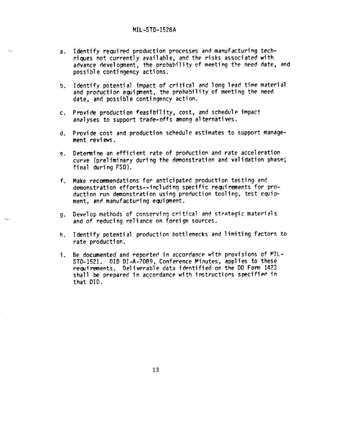- .— **a. Identify required production processes and manufacturing techni~es not currently available, and the risks associated with advance development, the probability cf meeting the need date, and possible contingency actions.**
- **b. Identify potential impact of critical and long lead time material and production equipnent, the probability of meeting the need date, and possible contingency action.**
- **c. Provide production feasibility, cost, and schedule impact analyses to support trade-offs among alternatives.**
- **d. Provide cost.and production schedule estimates to support management reviews.**
- **e.** Determine an efficient rate of production and rate acceleration **curve (preliminaryduring the demonstration and validation phase; final during FSD).**
- f. **Make recommendations for anticipated production testing and demonstration efforts--includingspecific requirements for production run demonstration using production tooling, test equipment, and manufacturing equipment.**
- **9. m....? - ~ ~an~er;J~nq~riti~al and strategic materidls Uevt'lup neth~ds ()! and of reducing reliance on foreign sources.**
- **h. Identify potential production bottlenecks and limiting factors to rate production.**
- **i. Be documented and reported in accordance with** *provisions* **of** VIL-**STD-1521.** DID DI-A-7089, **Conference Pinutes, applies to these requirements. Deliverable data ichtified on the DO Form 1423 shall be prepared in accordance with instruction speciffe\$ in that** DID.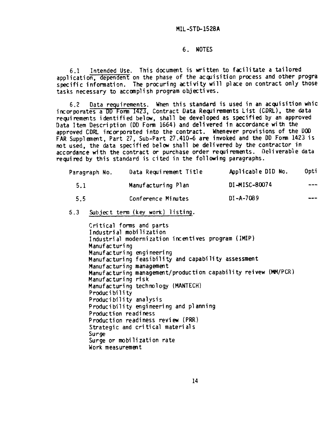## **6. NOTES**

6.1 **Intended Use. This document is written to facilitate a tailo~d application, dependent on the phase of the acquisition process and other progra specific information. The procuring activity will place on contract only those tasks necessary to accanplish program objectives.**

**6.2 Data requirements. When this standard is used in an acquisition whic incorporates a DD** Form 1423, Contract Data Requirements List (CDRL), the data **requirements identified below, shall be developed as specified by an approved Data Item Description (DD Form 1664) and delivered in accordance with the approved CDRL incorporated into the contiact. Whenever provisions of the Dm FAR Supplement, Part 27, Sub-Part 27.410-6 are invoked and the DO Form 1423 is not used, the data specified below shall be delivered by the contractor in accordance with the contract or purchase order requiremwts. Deliverable datii required by this standard is cited in the following paragraphs.**

| Paragraph No. | Data Requirement Title | Applicable DID No. | Opti  |
|---------------|------------------------|--------------------|-------|
| 5.1           | Manufacturing Plan     | DI-MISC-80074      | ----  |
| 5.5           | Conference Minutes     | $DI - A - 7089$    | المصم |

5.3 Subject term (key work) listing.

**Critical forms and parts Industrial mobilization Industrial modernization incentives program (IMIP) Manufacturing Manufacturing engineering Manufacturing feasibility and capability assessment Manufacturing managemat Manufacturing management/production capability reivew (MM/PCR) Manufacturing risk Manufacturing technology (MANTECH) Producibility Producibility analysis Producibility engineering and planning Praluction readiness Production readiness review (pRR) Strategic and critical materials** *Surge* **Surge** *or* **mobilization rate Work measuremat**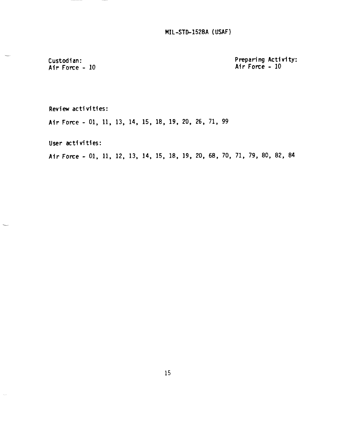**MIL-STO-1528A (USAF)**

**Custodian: Afr Fo~e - 10** **Preparing Activity: Air Force - 10**

**Review activities:**

**Air Force -** 01, 11, **13, 14, 15, 18, 19, 20, 26, 71, 99**

**User activities:**

 $\bar{\nu}$ 

**AirFo~e - 01,** 11, 12, 13, 14, 15, 18, 19, 20, 68, 70, 71, 79, 80, 82, 84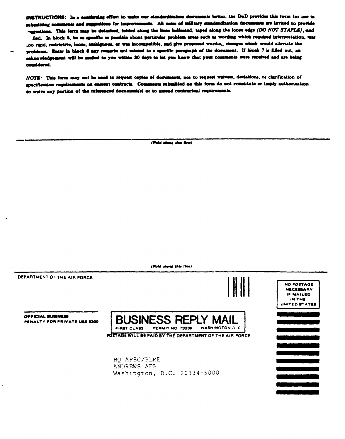INSTRUCTIONS: In a continuing effort to make our standardimation documents better, the DoD provides this form for use in submitting comments and suggestions for improvements. All uses of military standardization documents are invited to provide "expections. This form may be detached, folded along the lines indicated, taped along the loose edge (DO NOT STAPLE), and

iled. In block 5, be as specific as possible about particular problem areas such as wording which required interpretation, was .oo rigid, restrictive, loose, ambiguous, or was incompatible, and give proposed wordin, changes which would alleviate the problems. Enter in block 6 any remarks not related to a specific paragraph of the document. If block 7 is filled out, an acknowledgement will be mailed to you within 30 days to let you know that your comments were received and are being considered.

NOTE: This form may not be used to request copies of documents, nor to request waivers, deviations, or clarification of enecification requirements on surrent contracts. Comments submitted on this form do not constitute or imply authorization to welve any portion of the referenced document(s) or to amend contractual requirements.

(Pold along this line)

**(M** m **W mu)**

**DEPARTMENT OF THE AIR FORCE** NO POSTA<br>NECESSALE NECESSALE<br>IF MAILE **OFFICIAL BUBINESS BUSINESS REPL** PENALTY FOR PRIVATE USE \$300 **FIRST CLASS PERMIT NO. 73236 WASHINGTON D. C. AGE WILL** ●**E PAtD BY THE DEPARTMENT OF THE AIR FORCE** HQ AFSC\PLME ANDREWS AFB Washington, D.C. **20334-5000**